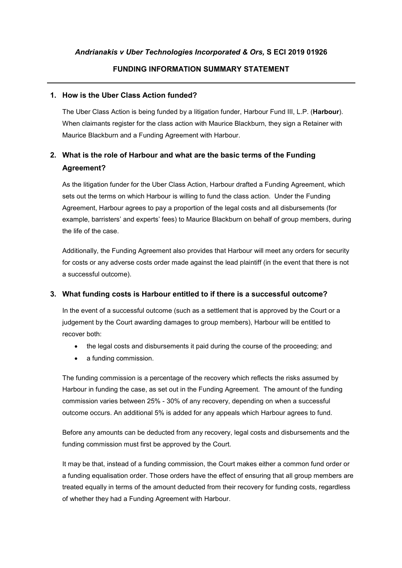### **FUNDING INFORMATION SUMMARY STATEMENT**

#### **1. How is the Uber Class Action funded?**

The Uber Class Action is being funded by a litigation funder, Harbour Fund III, L.P. (**Harbour**). When claimants register for the class action with Maurice Blackburn, they sign a Retainer with Maurice Blackburn and a Funding Agreement with Harbour.

# **2. What is the role of Harbour and what are the basic terms of the Funding Agreement?**

As the litigation funder for the Uber Class Action, Harbour drafted a Funding Agreement, which sets out the terms on which Harbour is willing to fund the class action. Under the Funding Agreement, Harbour agrees to pay a proportion of the legal costs and all disbursements (for example, barristers' and experts' fees) to Maurice Blackburn on behalf of group members, during the life of the case.

Additionally, the Funding Agreement also provides that Harbour will meet any orders for security for costs or any adverse costs order made against the lead plaintiff (in the event that there is not a successful outcome).

### **3. What funding costs is Harbour entitled to if there is a successful outcome?**

In the event of a successful outcome (such as a settlement that is approved by the Court or a judgement by the Court awarding damages to group members), Harbour will be entitled to recover both:

- the legal costs and disbursements it paid during the course of the proceeding; and
- a funding commission.

The funding commission is a percentage of the recovery which reflects the risks assumed by Harbour in funding the case, as set out in the Funding Agreement. The amount of the funding commission varies between 25% - 30% of any recovery, depending on when a successful outcome occurs. An additional 5% is added for any appeals which Harbour agrees to fund.

Before any amounts can be deducted from any recovery, legal costs and disbursements and the funding commission must first be approved by the Court.

It may be that, instead of a funding commission, the Court makes either a common fund order or a funding equalisation order. Those orders have the effect of ensuring that all group members are treated equally in terms of the amount deducted from their recovery for funding costs, regardless of whether they had a Funding Agreement with Harbour.